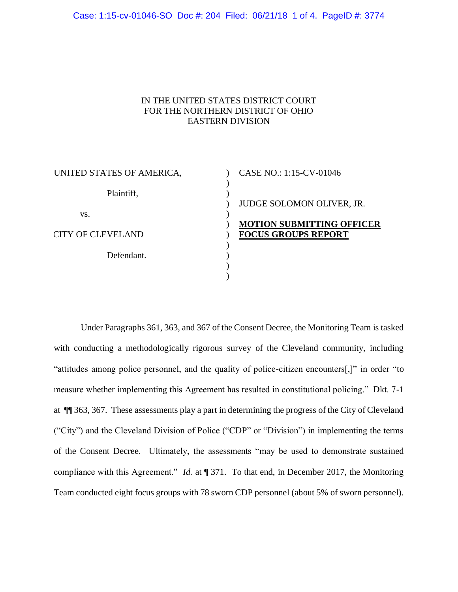### IN THE UNITED STATES DISTRICT COURT FOR THE NORTHERN DISTRICT OF OHIO EASTERN DIVISION

 $\mathcal{L}$  $\lambda$  $\mathcal{L}$  $\lambda$  $\lambda$  $\mathcal{L}$  $\mathcal{L}$  $\lambda$ ) ) )

| UNITED STATES OF AMERICA, |
|---------------------------|
| Plaintiff,                |
| VS.                       |
| CITY OF CLEVELAND         |
| Defendant.                |
|                           |

# CASE NO.: 1:15-CV-01046 JUDGE SOLOMON OLIVER, JR. **MOTION SUBMITTING OFFICER FOCUS GROUPS REPORT**

Under Paragraphs 361, 363, and 367 of the Consent Decree, the Monitoring Team is tasked with conducting a methodologically rigorous survey of the Cleveland community, including "attitudes among police personnel, and the quality of police-citizen encounters[,]" in order "to measure whether implementing this Agreement has resulted in constitutional policing." Dkt. 7-1 at ¶¶ 363, 367. These assessments play a part in determining the progress of the City of Cleveland ("City") and the Cleveland Division of Police ("CDP" or "Division") in implementing the terms of the Consent Decree. Ultimately, the assessments "may be used to demonstrate sustained compliance with this Agreement." *Id.* at ¶ 371. To that end, in December 2017, the Monitoring Team conducted eight focus groups with 78 sworn CDP personnel (about 5% of sworn personnel).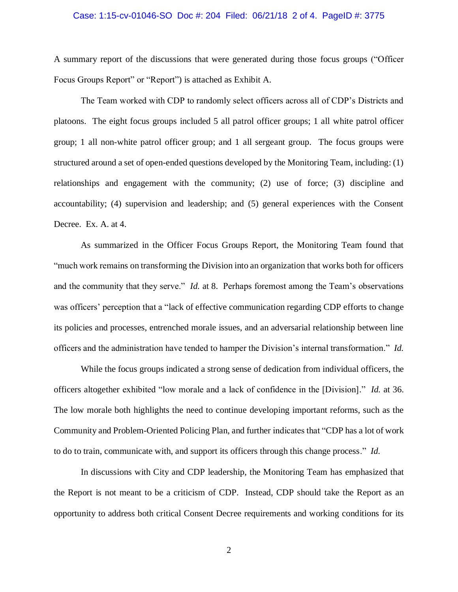#### Case: 1:15-cv-01046-SO Doc #: 204 Filed: 06/21/18 2 of 4. PageID #: 3775

A summary report of the discussions that were generated during those focus groups ("Officer Focus Groups Report" or "Report") is attached as Exhibit A.

The Team worked with CDP to randomly select officers across all of CDP's Districts and platoons. The eight focus groups included 5 all patrol officer groups; 1 all white patrol officer group; 1 all non-white patrol officer group; and 1 all sergeant group. The focus groups were structured around a set of open-ended questions developed by the Monitoring Team, including: (1) relationships and engagement with the community; (2) use of force; (3) discipline and accountability; (4) supervision and leadership; and (5) general experiences with the Consent Decree. Ex. A. at 4.

As summarized in the Officer Focus Groups Report, the Monitoring Team found that "much work remains on transforming the Division into an organization that works both for officers and the community that they serve." *Id.* at 8. Perhaps foremost among the Team's observations was officers' perception that a "lack of effective communication regarding CDP efforts to change its policies and processes, entrenched morale issues, and an adversarial relationship between line officers and the administration have tended to hamper the Division's internal transformation." *Id.*

While the focus groups indicated a strong sense of dedication from individual officers, the officers altogether exhibited "low morale and a lack of confidence in the [Division]." *Id.* at 36. The low morale both highlights the need to continue developing important reforms, such as the Community and Problem-Oriented Policing Plan, and further indicates that "CDP has a lot of work to do to train, communicate with, and support its officers through this change process." *Id.*

In discussions with City and CDP leadership, the Monitoring Team has emphasized that the Report is not meant to be a criticism of CDP. Instead, CDP should take the Report as an opportunity to address both critical Consent Decree requirements and working conditions for its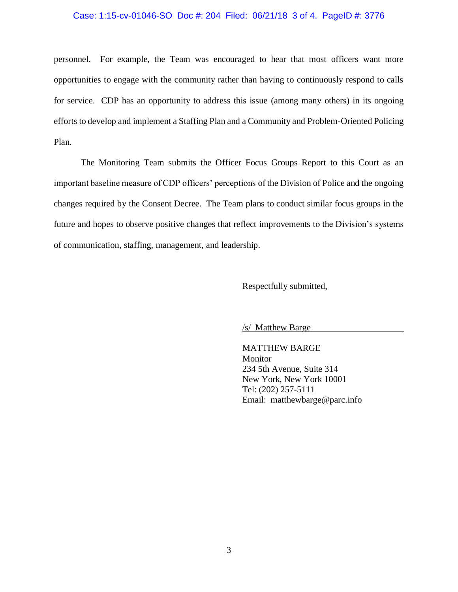#### Case: 1:15-cv-01046-SO Doc #: 204 Filed: 06/21/18 3 of 4. PageID #: 3776

personnel. For example, the Team was encouraged to hear that most officers want more opportunities to engage with the community rather than having to continuously respond to calls for service. CDP has an opportunity to address this issue (among many others) in its ongoing efforts to develop and implement a Staffing Plan and a Community and Problem-Oriented Policing Plan.

The Monitoring Team submits the Officer Focus Groups Report to this Court as an important baseline measure of CDP officers' perceptions of the Division of Police and the ongoing changes required by the Consent Decree. The Team plans to conduct similar focus groups in the future and hopes to observe positive changes that reflect improvements to the Division's systems of communication, staffing, management, and leadership.

Respectfully submitted,

/s/ Matthew Barge

MATTHEW BARGE Monitor 234 5th Avenue, Suite 314 New York, New York 10001 Tel: (202) 257-5111 Email: matthewbarge@parc.info